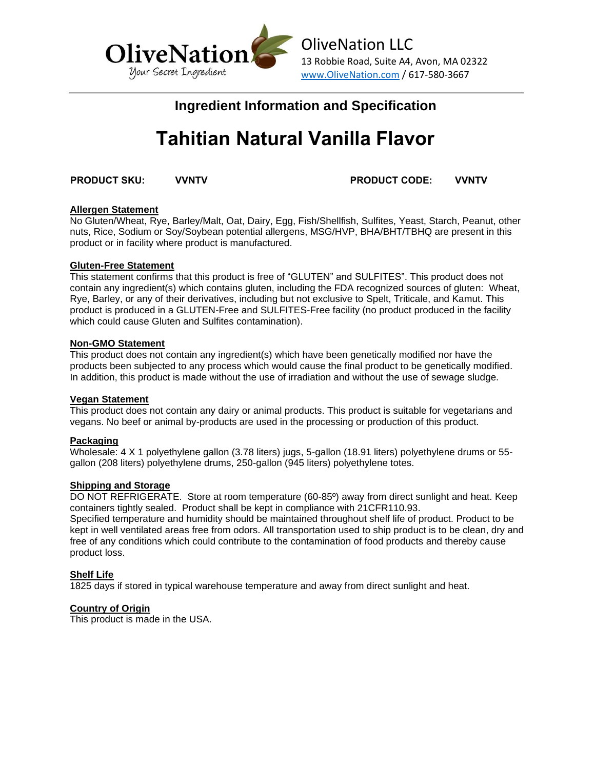

# **Ingredient Information and Specification**

# **Tahitian Natural Vanilla Flavor**

**PRODUCT SKU: VVNTV PRODUCT CODE: VVNTV**

## **Allergen Statement**

No Gluten/Wheat, Rye, Barley/Malt, Oat, Dairy, Egg, Fish/Shellfish, Sulfites, Yeast, Starch, Peanut, other nuts, Rice, Sodium or Soy/Soybean potential allergens, MSG/HVP, BHA/BHT/TBHQ are present in this product or in facility where product is manufactured.

#### **Gluten-Free Statement**

This statement confirms that this product is free of "GLUTEN" and SULFITES". This product does not contain any ingredient(s) which contains gluten, including the FDA recognized sources of gluten: Wheat, Rye, Barley, or any of their derivatives, including but not exclusive to Spelt, Triticale, and Kamut. This product is produced in a GLUTEN-Free and SULFITES-Free facility (no product produced in the facility which could cause Gluten and Sulfites contamination).

#### **Non-GMO Statement**

This product does not contain any ingredient(s) which have been genetically modified nor have the products been subjected to any process which would cause the final product to be genetically modified. In addition, this product is made without the use of irradiation and without the use of sewage sludge.

#### **Vegan Statement**

This product does not contain any dairy or animal products. This product is suitable for vegetarians and vegans. No beef or animal by-products are used in the processing or production of this product.

## **Packaging**

Wholesale: 4 X 1 polyethylene gallon (3.78 liters) jugs, 5-gallon (18.91 liters) polyethylene drums or 55 gallon (208 liters) polyethylene drums, 250-gallon (945 liters) polyethylene totes.

#### **Shipping and Storage**

DO NOT REFRIGERATE. Store at room temperature (60-85º) away from direct sunlight and heat. Keep containers tightly sealed. Product shall be kept in compliance with 21CFR110.93.

Specified temperature and humidity should be maintained throughout shelf life of product. Product to be kept in well ventilated areas free from odors. All transportation used to ship product is to be clean, dry and free of any conditions which could contribute to the contamination of food products and thereby cause product loss.

## **Shelf Life**

1825 days if stored in typical warehouse temperature and away from direct sunlight and heat.

#### **Country of Origin**

This product is made in the USA.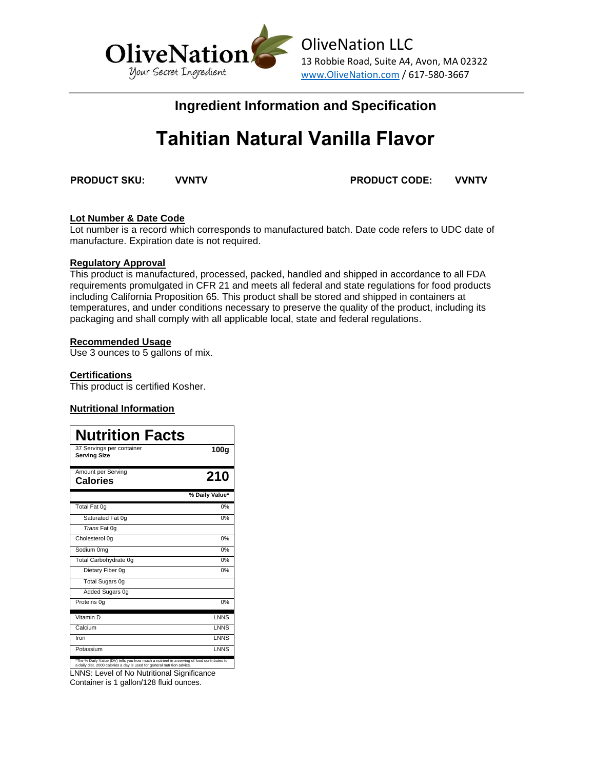

# **Ingredient Information and Specification**

# **Tahitian Natural Vanilla Flavor**

**PRODUCT SKU: VVNTV PRODUCT CODE: VVNTV**

# **Lot Number & Date Code**

Lot number is a record which corresponds to manufactured batch. Date code refers to UDC date of manufacture. Expiration date is not required.

#### **Regulatory Approval**

This product is manufactured, processed, packed, handled and shipped in accordance to all FDA requirements promulgated in CFR 21 and meets all federal and state regulations for food products including California Proposition 65. This product shall be stored and shipped in containers at temperatures, and under conditions necessary to preserve the quality of the product, including its packaging and shall comply with all applicable local, state and federal regulations.

## **Recommended Usage**

Use 3 ounces to 5 gallons of mix.

#### **Certifications**

This product is certified Kosher.

## **Nutritional Information**

| <b>Nutrition Facts</b>                                                                    |                |
|-------------------------------------------------------------------------------------------|----------------|
| 37 Servings per container<br><b>Serving Size</b>                                          | 100g           |
| Amount per Serving<br><b>Calories</b>                                                     | 210            |
|                                                                                           | % Daily Value* |
| Total Fat 0g                                                                              | 0%             |
| Saturated Fat 0q                                                                          | 0%             |
| Trans Fat 0g                                                                              |                |
| Cholesterol 0q                                                                            | 0%             |
| Sodium 0mg                                                                                | 0%             |
| Total Carbohydrate 0q                                                                     | 0%             |
| Dietary Fiber 0q                                                                          | 0%             |
| <b>Total Sugars 0g</b>                                                                    |                |
| Added Sugars 0g                                                                           |                |
| Proteins 0q                                                                               | 0%             |
| Vitamin D                                                                                 | <b>LNNS</b>    |
| Calcium                                                                                   | <b>LNNS</b>    |
| Iron                                                                                      | <b>LNNS</b>    |
| Potassium                                                                                 | <b>LNNS</b>    |
| *The % Daily Value (DV) tells you how much a nutrient in a serving of food contributes to |                |

\*The % Daily Value (DV) tells you how much a nutrient in a serving of food contributes to a daily diet. 2000 calories a day is used for general nutrition advice. LNNS: Level of No Nutritional Significance

Container is 1 gallon/128 fluid ounces.